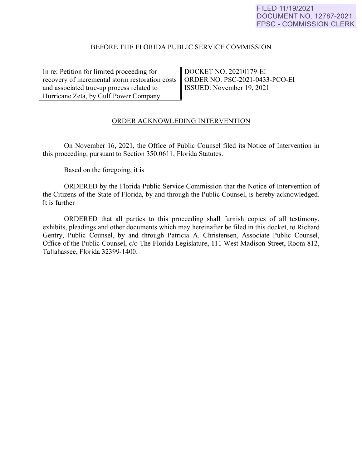## BEFORE THE FLORIDA PUBLIC SERVICE COMMISSION

In re: Petition for limited proceeding for recovery of incremental storm restoration costs and associated true-up process related to Hurricane Zeta, by Gulf Power Company.

DOCKET NO. 20210179-EI ORDER NO. PSC-2021-0433-PCO-EI ISSUED: November 19, 2021

## ORDER ACKNOWLEDING INTERVENTION

On November 16, 2021, the Office of Public Counsel filed its Notice of Intervention in this proceeding, pursuant to Section 350.0611 , Florida Statutes.

Based on the foregoing, it is

ORDERED by the Florida Public Service Commission that the Notice of Intervention of the Citizens of the State of Florida, by and through the Public Counsel, is hereby acknowledged. It is further

ORDERED that all parties to this proceeding shall furnish copies of all testimony, exhibits, pleadings and other documents which may hereinafter be filed in this docket, to Richard Gentry, Public Counsel, by and through Patricia A. Christensen, Associate Public Counsel, Office of the Public Counsel, c/o The Florida Legislature, 111 West Madison Street, Room 812, Tallahassee, Florida 32399-1400.